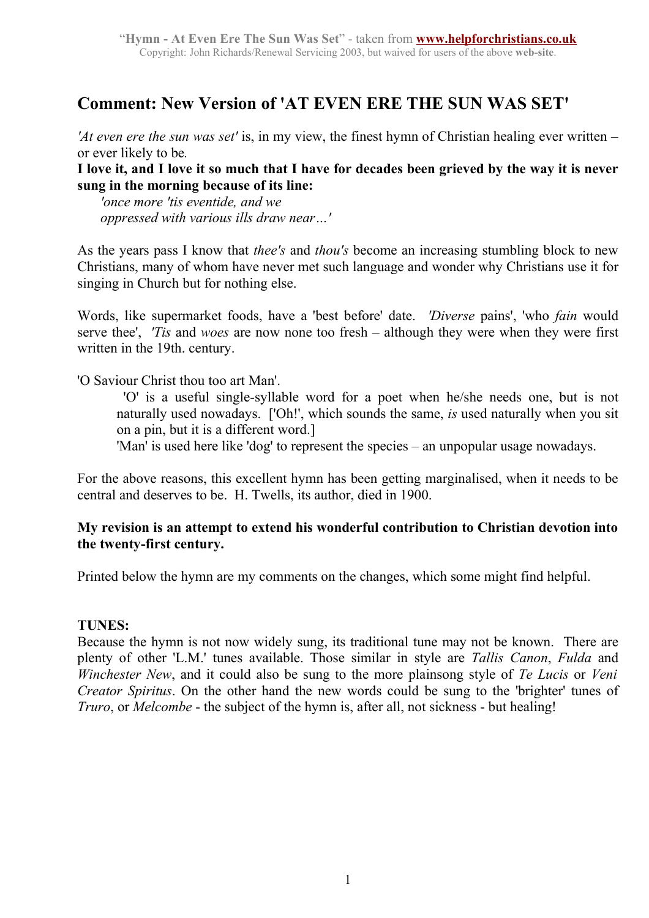### **Comment: New Version of 'AT EVEN ERE THE SUN WAS SET'**

*'At even ere the sun was set'* is, in my view, the finest hymn of Christian healing ever written – or ever likely to be*.*

**I love it, and I love it so much that I have for decades been grieved by the way it is never sung in the morning because of its line:**

 *'once more 'tis eventide, and we oppressed with various ills draw near…'*

As the years pass I know that *thee's* and *thou's* become an increasing stumbling block to new Christians, many of whom have never met such language and wonder why Christians use it for singing in Church but for nothing else.

Words, like supermarket foods, have a 'best before' date. *'Diverse* pains', 'who *fain* would serve thee', *'Tis* and *woes* are now none too fresh – although they were when they were first written in the 19th. century.

'O Saviour Christ thou too art Man'.

 'O' is a useful single-syllable word for a poet when he/she needs one, but is not naturally used nowadays. ['Oh!', which sounds the same, *is* used naturally when you sit on a pin, but it is a different word.]

'Man' is used here like 'dog' to represent the species – an unpopular usage nowadays.

For the above reasons, this excellent hymn has been getting marginalised, when it needs to be central and deserves to be. H. Twells, its author, died in 1900.

#### **My revision is an attempt to extend his wonderful contribution to Christian devotion into the twenty-first century.**

Printed below the hymn are my comments on the changes, which some might find helpful.

#### **TUNES:**

Because the hymn is not now widely sung, its traditional tune may not be known. There are plenty of other 'L.M.' tunes available. Those similar in style are *Tallis Canon*, *Fulda* and *Winchester New*, and it could also be sung to the more plainsong style of *Te Lucis* or *Veni Creator Spiritus*. On the other hand the new words could be sung to the 'brighter' tunes of *Truro*, or *Melcombe* - the subject of the hymn is, after all, not sickness - but healing!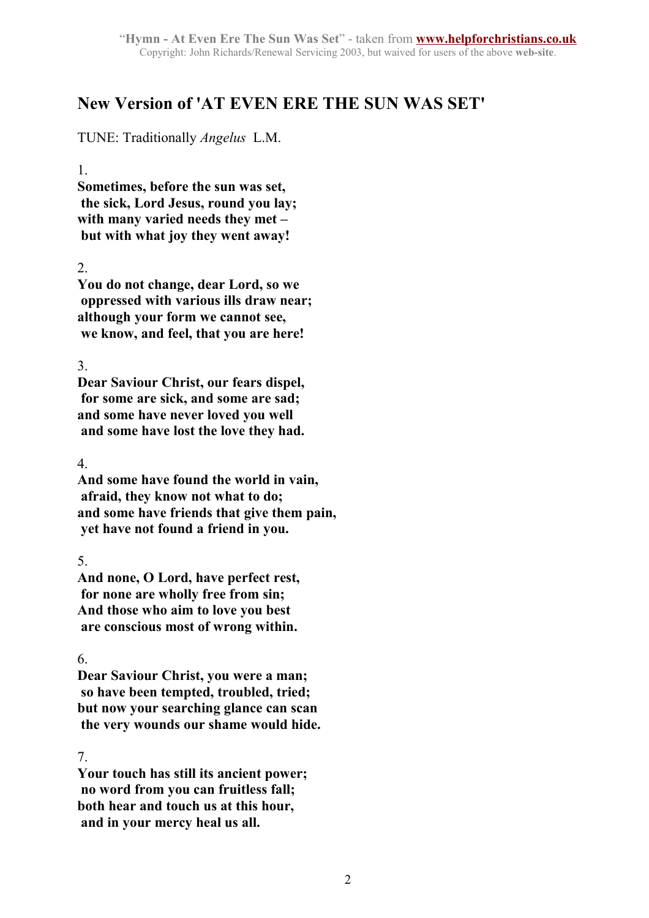## **New Version of 'AT EVEN ERE THE SUN WAS SET'**

TUNE: Traditionally *Angelus* L.M.

1.

**Sometimes, before the sun was set, the sick, Lord Jesus, round you lay; with many varied needs they met – but with what joy they went away!**

2.

**You do not change, dear Lord, so we oppressed with various ills draw near; although your form we cannot see, we know, and feel, that you are here!**

3.

**Dear Saviour Christ, our fears dispel, for some are sick, and some are sad; and some have never loved you well and some have lost the love they had.**

4.

**And some have found the world in vain, afraid, they know not what to do; and some have friends that give them pain, yet have not found a friend in you.**

5.

**And none, O Lord, have perfect rest, for none are wholly free from sin; And those who aim to love you best are conscious most of wrong within.**

6.

**Dear Saviour Christ, you were a man; so have been tempted, troubled, tried; but now your searching glance can scan the very wounds our shame would hide.**

#### 7.

**Your touch has still its ancient power; no word from you can fruitless fall; both hear and touch us at this hour, and in your mercy heal us all.**